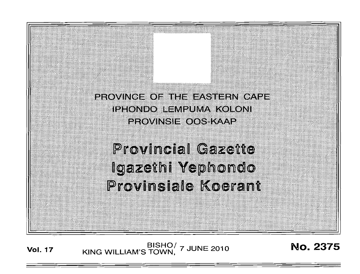

# **Provincial Gazette** Igazethi Yephondo Provinsiale Koerant

**Vol. 17** KING WILLIAM'S TOWN, 7 JUNE 2010 **No. 2375**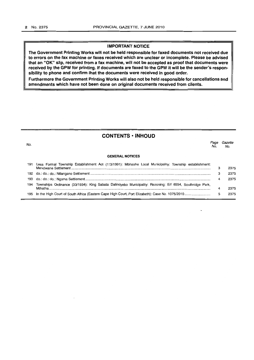## **IMPORTANT NOTICE**

**The Government Printing Works will not be held responsible for faxed documents not received due to errors on the fax machine or faxes received which are unclear or incomplete. Please be advised that an "OK" slip, received from a fax machine, will not be accepted as proof that documents were received by the GPW for printing. If documents are faxed to the GPW it will be the sender's responsibility to phone and confirm that the documents were received in good order.**

**Furthermore the Government Printing Works will also not be held responsible for cancellations and amendments which have not been done on original documents received from clients.**

# **CONTENTS • INHOUD**

| No. |                                                                                                            | No. | Gazette<br>No. |
|-----|------------------------------------------------------------------------------------------------------------|-----|----------------|
|     | <b>GENERAL NOTICES</b>                                                                                     |     |                |
|     | 191 Less Formal Township Establishment Act (113/1991): Mbhashe Local Municipality: Township establishment: | з   | 2375           |
|     |                                                                                                            | з   | 2375           |
| 193 |                                                                                                            | 4   | 2375           |
| 194 | Townships Ordinance (33/1934): King Sabata Dalindyebo Municipality: Rezoning: Erf 6554, Southridge Park,   |     | 2375           |
|     |                                                                                                            | 5   | 2375           |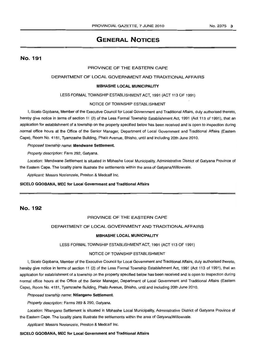## No.2375 3

# GENERAL NOTICES

No. 191

## PROVINCE OF THE EASTERN CAPE

## DEPARTMENT OF LOCAL GOVERNMENT AND TRADITIONAL AFFAIRS

#### MBHASHE LOCAL MUNICIPALITY

LESS FORMAL TOWNSHIP ESTABLISHMENT ACT, 1991 (ACT 113 OF 1991)

#### NOTICE OF TOWNSHIP ESTABLISHMENT

I, Sicelo Gqobana, Member of the Executive Council for Local Government and Traditional Affairs, duly authorised thereto, hereby give notice in terms of section 11 (2) of the Less Formal Township Establishment Act, 1991 (Act 113 of 1991); that an application for establishment of a township on the property specified below has been received and is open to inspection during normal office hours at the Office of the Senior Manager, Department of Local Government and Traditional Affairs (Eastern Cape), Room No. 4181, Tyamzashe Building, Phalo Avenue, Bhisho, until and including 20th June 2010.

Proposed township name: Mendwane Settlement.

Property description: Farm 292, Gatyana.

Location: Mendwane Settlement is situated in Mbhashe Local Municipality, Administrative District of Gatyana Province of the Eastern Cape. The locality plans illustrate the settlements within the area of Gatyana/Willowvale.

Applicant: Messrs Nzelenzele, Preston & Medcalf Inc.

#### SICELO GQOBANA, MEC for Local Government and Traditional Affairs

# No. 192

## PROVINCE OF THE EASTERN CAPE

### DEPARTMENT OF LOCAL GOVERNMENT AND TRADITIONAL AFFAIRS

#### MBHASHE LOCAL MUNICIPALITY

LESS FORMAL TOWNSHIP ESTABLISHMENT ACT, 1991 (ACT 113 OF 1991)

## NOTICE OF TOWNSHIP ESTABLISHMENT

I, Sicelo Gqobana, Member of the Executive Council for Local Government and Traditional Affairs, duly authorised thereto, hereby give notice in terms of section 11 (2) of the Less Formal Township Establishment Act, 1991 (Act 113 of 1991), that an application for establishment of a township on the property specified below has been received and is open to inspection during normal office hours at the Office of the Senior Manager, Department of Local Government and Traditional Affairs (Eastern Cape), Room No. 4181, Tyamzashe Building, Phalo Avenue, Bhisho, until and including 20th June 2010.

Proposed township name: Ntlangano Settlement.

Property description: Farms 289 & 290, Gatyana.

Location: Ntlangano Settlement is situated in Mbhashe Local Municipality, Administrative District of Gatyana Province of the Eastern Cape. The locality plans illustrate the settlements within the area of Gatyana/Willowvale.

Applicant: Messrs Nzelenzele, Preston & Medcalf Inc.

SICELO GQOBANA, MEC for Local Government and Traditional Affairs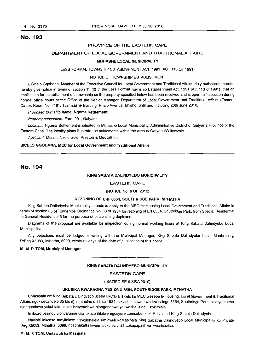# No. 193

## PROVINCE OF THE EASTERN CAPE

## DEPARTMENT OF LOCAL GOVERNMENT AND TRADITIONAL AFFAIRS

#### MBHASHE LOCAL MUNICIPALITY

#### LESS FORMAL TOWNSHIP ESTABLISHMENT ACT, 1991 (ACT 113 OF 1991)

#### NOTICE OF TOWNSHIP ESTABLISHMENT

I, Sicelo Gqobana, Member of the Executive Council for Local Government and Traditional Affairs, duly authorised thereto, hereby give notice in terms of section 11 (2) of the Less Formal Township Establishment Act, 1991 (Act 113 of 1991), that an application for establishment of a township on the property specified below has been received and is open to inspection during normal office hours at the Office of the Senior Manager, Department of Local Government and Traditional Affairs (Eastern Cape), Room No. 4181, Tyamzashe Building, Phalo Avenue, Bhisho, until and including 20th June 2010.

Proposed township name: Ngoma Settlement.

Property description: Farm 291, Gatyana.

Location: Ngoma Settlement is situated in Mbhashe Local Municipality, Administrative District of Gatyana Province of the Eastern Cape. The locality plans illustrate the settlements within the area of Gatyana/Willowvale.

Applicant: Messrs Nzelenzele, Preston & Medcalf Inc.

#### SICELO GQOBANA, MEC for Local Government and Traditional Affairs

# No. 194

#### KING SABATA DALINDYEBO MUNICIPALITY

#### EASTERN CAPE

## (NOTICE No.6 OF 2010)

#### REZONING OF ERF 6554, SOUTHRIDGE PARK, MTHATHA

King Sabata Dalindyebo Municipality intends to apply to the MEC for Housing Local Government and Traditional Affairs in terms of section 35 of Townships Ordinance No. 33 of 1934 for rezoning of Erf 6554, Southridge Park, from Special Residential to General Residential 3 for the purpose of establishing duplexes.

Diagrams of the proposal are available for inspection during normal working hours at King Sabata Dalindyebo Local Municipality.

Any objections must be lodged in writing with the Municipal Manager, King Sabata Dalindyebo Local Municipality, P/Bag X5083, Mthatha, 5099, within 21 days of the date of publication of this notice.

#### M. M. P.TOM, Municipal Manager

## KING SABATA DALINDYEBO MUNICIPALITY

**• CI**

#### EASTERN CAPE

(ISAZISO SE 6 SIKA 2010)

#### UKUSIKA KWAKHONA YESIZA U 6554, SOUTHRIDGE PARK, MTHATHA

UMasipala we King Sabata Dalindyebo uceba ukufaka isicelo ku MEC wesebe Ie Housing, Local Government & Traditional Affairs ngokwecandelo 35 bis (i) lomthetho u 33 ka 1934 sokutshintshwa kwesiza esingu 6554, Southridge Park, sisetyenziswa njengendawo yokuhlala ukuze isetyenziswe njengendawo yokwakha izindlu zokuhlala.

Imibuzo yesindululo iyafumaneka ukuze ihlolwe ngeeyure zomsebenzi kuMasipala I King Sabata Dalindyebo.

Nayiphi inkcaso mayifakwe ngokubhalela umlawuli kaMasipala King Sabatha Dalindyebo Local Municipality ku Private Bag X5083, Mthatha, 5099, ngaphakathi kweentsuku eziyi 21 zokupapashwa kwesisaziso.

#### M. M. P.TOM, Umlawuli ka Masipala